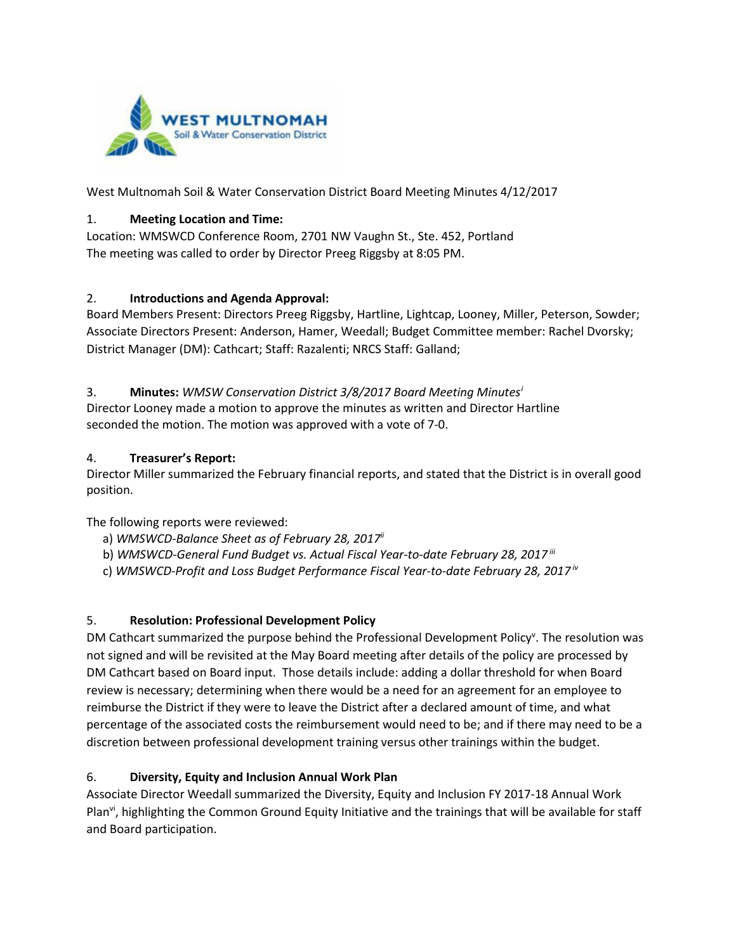

West Multnomah Soil & Water Conservation District Board Meeting Minutes 4/12/2017

#### 1. **Meeting Location and Time:**

Location: WMSWCD Conference Room, 2701 NW Vaughn St., Ste. 452, Portland The meeting was called to order by Director Preeg Riggsby at 8:05 PM.

#### 2. **Introductions and Agenda Approval:**

Board Members Present: Directors Preeg Riggsby, Hartline, Lightcap, Looney, Miller, Peterson, Sowder; Associate Directors Present: Anderson, Hamer, Weedall; Budget Committee member: Rachel Dvorsky; District Manager (DM): Cathcart; Staff: Razalenti; NRCS Staff: Galland;

## 3. **Minutes:** *WMSW Conservation District 3/8/2017 Board Meeting Minutes[i](#page-1-0)*

Director Looney made a motion to approve the minutes as written and Director Hartline seconded the motion. The motion was approved with a vote of 7-0.

#### 4. **Treasurer's Report:**

Director Miller summarized the February financial reports, and stated that the District is in overall good position.

The following reports were reviewed:

- a) *WMSWCD-Balance Sheet as of February 28, 2017ii*
- b) *WMSWCD-General Fund Budget vs. Actual Fiscal Year-to-date February 28, 2017 iii*
- c) *WMSWCD-Profit and Loss Budget Performance Fiscal Year-to-date February 28, 2017 iv*

## 5. **Resolution: Professional Development Policy**

DM Cathcart summarized the purpose behind the Professional Development Policy<sup>v</sup>. The resolution was not signed and will be revisited at the May Board meeting after details of the policy are processed by DM Cathcart based on Board input. Those details include: adding a dollar threshold for when Board review is necessary; determining when there would be a need for an agreement for an employee to reimburse the District if they were to leave the District after a declared amount of time, and what percentage of the associated costs the reimbursement would need to be; and if there may need to be a discretion between professional development training versus other trainings within the budget.

## 6. **Diversity, Equity and Inclusion Annual Work Plan**

Associate Director Weedall summarized the Diversity, Equity and Inclusion FY 2017-18 Annual Work Plan<sup>vi</sup>, highlighting the Common Ground Equity Initiative and the trainings that will be available for staff and Board participation.